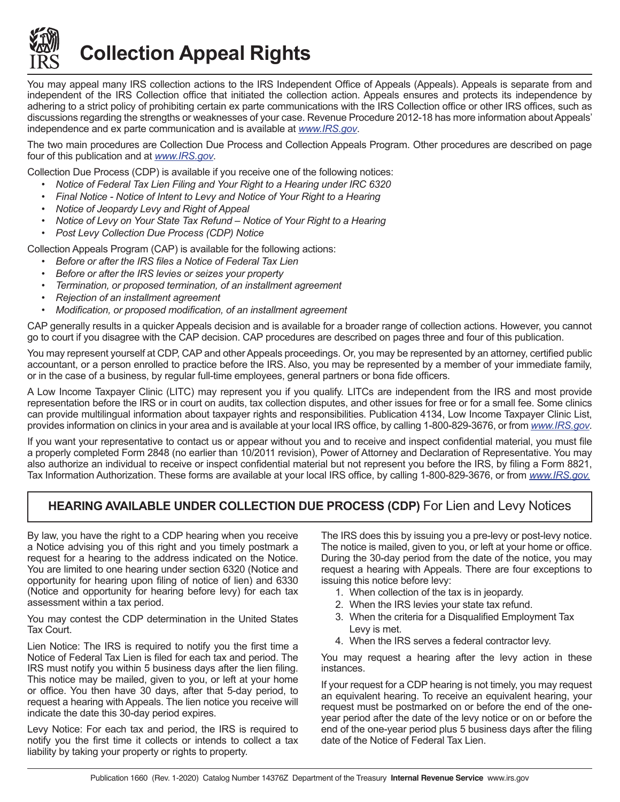

**Collection Appeal Rights**

You may appeal many IRS collection actions to the IRS Independent Office of Appeals (Appeals). Appeals is separate from and independent of the IRS Collection office that initiated the collection action. Appeals ensures and protects its independence by adhering to a strict policy of prohibiting certain ex parte communications with the IRS Collection office or other IRS offices, such as discussions regarding the strengths or weaknesses of your case. Revenue Procedure 2012-18 has more information about Appeals' independence and ex parte communication and is available at *<www.IRS.gov>*.

The two main procedures are Collection Due Process and Collection Appeals Program. Other procedures are described on page four of this publication and at *<www.IRS.gov>*.

Collection Due Process (CDP) is available if you receive one of the following notices:

- *• Notice of Federal Tax Lien Filing and Your Right to a Hearing under IRC 6320*
- *• Final Notice Notice of Intent to Levy and Notice of Your Right to a Hearing*
- *• Notice of Jeopardy Levy and Right of Appeal*
- *• Notice of Levy on Your State Tax Refund Notice of Your Right to a Hearing*
- *• Post Levy Collection Due Process (CDP) Notice*

Collection Appeals Program (CAP) is available for the following actions:

- *• Before or after the IRS files a Notice of Federal Tax Lien*
- *• Before or after the IRS levies or seizes your property*
- *• Termination, or proposed termination, of an installment agreement*
- *• Rejection of an installment agreement*
- *• Modification, or proposed modification, of an installment agreement*

CAP generally results in a quicker Appeals decision and is available for a broader range of collection actions. However, you cannot go to court if you disagree with the CAP decision. CAP procedures are described on pages three and four of this publication.

You may represent yourself at CDP, CAP and other Appeals proceedings. Or, you may be represented by an attorney, certified public accountant, or a person enrolled to practice before the IRS. Also, you may be represented by a member of your immediate family, or in the case of a business, by regular full-time employees, general partners or bona fide officers.

A Low Income Taxpayer Clinic (LITC) may represent you if you qualify. LITCs are independent from the IRS and most provide representation before the IRS or in court on audits, tax collection disputes, and other issues for free or for a small fee. Some clinics can provide multilingual information about taxpayer rights and responsibilities. Publication 4134, Low Income Taxpayer Clinic List, provides information on clinics in your area and is available at your local IRS office, by calling 1-800-829-3676, or from *<www.IRS.gov>*.

If you want your representative to contact us or appear without you and to receive and inspect confidential material, you must file a properly completed Form 2848 (no earlier than 10/2011 revision), Power of Attorney and Declaration of Representative. You may also authorize an individual to receive or inspect confidential material but not represent you before the IRS, by filing a Form 8821, Tax Information Authorization. These forms are available at your local IRS office, by calling 1-800-829-3676, or from *[www.IRS.gov.](www.IRS.gov)*

# **HEARING AVAILABLE UNDER COLLECTION DUE PROCESS (CDP)** For Lien and Levy Notices

By law, you have the right to a CDP hearing when you receive a Notice advising you of this right and you timely postmark a request for a hearing to the address indicated on the Notice. You are limited to one hearing under section 6320 (Notice and opportunity for hearing upon filing of notice of lien) and 6330 (Notice and opportunity for hearing before levy) for each tax assessment within a tax period.

You may contest the CDP determination in the United States Tax Court.

Lien Notice: The IRS is required to notify you the first time a Notice of Federal Tax Lien is filed for each tax and period. The IRS must notify you within 5 business days after the lien filing. This notice may be mailed, given to you, or left at your home or office. You then have 30 days, after that 5-day period, to request a hearing with Appeals. The lien notice you receive will indicate the date this 30-day period expires.

Levy Notice: For each tax and period, the IRS is required to notify you the first time it collects or intends to collect a tax liability by taking your property or rights to property.

The IRS does this by issuing you a pre-levy or post-levy notice. The notice is mailed, given to you, or left at your home or office. During the 30-day period from the date of the notice, you may request a hearing with Appeals. There are four exceptions to issuing this notice before levy:

- 1. When collection of the tax is in jeopardy.
- 2. When the IRS levies your state tax refund.
- 3. When the criteria for a Disqualified Employment Tax Levy is met.
- 4. When the IRS serves a federal contractor levy.

You may request a hearing after the levy action in these instances.

If your request for a CDP hearing is not timely, you may request an equivalent hearing. To receive an equivalent hearing, your request must be postmarked on or before the end of the oneyear period after the date of the levy notice or on or before the end of the one-year period plus 5 business days after the filing date of the Notice of Federal Tax Lien.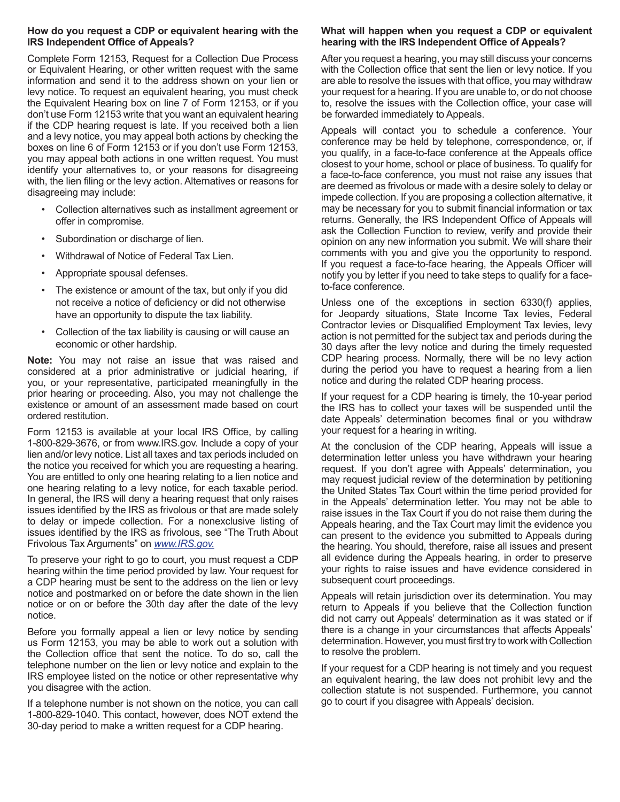## **How do you request a CDP or equivalent hearing with the IRS Independent Office of Appeals?**

Complete Form 12153, Request for a Collection Due Process or Equivalent Hearing, or other written request with the same information and send it to the address shown on your lien or levy notice. To request an equivalent hearing, you must check the Equivalent Hearing box on line 7 of Form 12153, or if you don't use Form 12153 write that you want an equivalent hearing if the CDP hearing request is late. If you received both a lien and a levy notice, you may appeal both actions by checking the boxes on line 6 of Form 12153 or if you don't use Form 12153, you may appeal both actions in one written request. You must identify your alternatives to, or your reasons for disagreeing with, the lien filing or the levy action. Alternatives or reasons for disagreeing may include:

- Collection alternatives such as installment agreement or offer in compromise.
- Subordination or discharge of lien.
- Withdrawal of Notice of Federal Tax Lien.
- Appropriate spousal defenses.
- The existence or amount of the tax, but only if you did not receive a notice of deficiency or did not otherwise have an opportunity to dispute the tax liability.
- Collection of the tax liability is causing or will cause an economic or other hardship.

**Note:** You may not raise an issue that was raised and considered at a prior administrative or judicial hearing, if you, or your representative, participated meaningfully in the prior hearing or proceeding. Also, you may not challenge the existence or amount of an assessment made based on court ordered restitution.

Form 12153 is available at your local IRS Office, by calling 1-800-829-3676, or from www.IRS.gov. Include a copy of your lien and/or levy notice. List all taxes and tax periods included on the notice you received for which you are requesting a hearing. You are entitled to only one hearing relating to a lien notice and one hearing relating to a levy notice, for each taxable period. In general, the IRS will deny a hearing request that only raises issues identified by the IRS as frivolous or that are made solely to delay or impede collection. For a nonexclusive listing of issues identified by the IRS as frivolous, see "The Truth About Frivolous Tax Arguments" on *<www.IRS.gov>.*

To preserve your right to go to court, you must request a CDP hearing within the time period provided by law. Your request for a CDP hearing must be sent to the address on the lien or levy notice and postmarked on or before the date shown in the lien notice or on or before the 30th day after the date of the levy notice.

Before you formally appeal a lien or levy notice by sending us Form 12153, you may be able to work out a solution with the Collection office that sent the notice. To do so, call the telephone number on the lien or levy notice and explain to the IRS employee listed on the notice or other representative why you disagree with the action.

If a telephone number is not shown on the notice, you can call 1-800-829-1040. This contact, however, does NOT extend the 30-day period to make a written request for a CDP hearing.

## **What will happen when you request a CDP or equivalent hearing with the IRS Independent Office of Appeals?**

After you request a hearing, you may still discuss your concerns with the Collection office that sent the lien or levy notice. If you are able to resolve the issues with that office, you may withdraw your request for a hearing. If you are unable to, or do not choose to, resolve the issues with the Collection office, your case will be forwarded immediately to Appeals.

Appeals will contact you to schedule a conference. Your conference may be held by telephone, correspondence, or, if you qualify, in a face-to-face conference at the Appeals office closest to your home, school or place of business. To qualify for a face-to-face conference, you must not raise any issues that are deemed as frivolous or made with a desire solely to delay or impede collection. If you are proposing a collection alternative, it may be necessary for you to submit financial information or tax returns. Generally, the IRS Independent Office of Appeals will ask the Collection Function to review, verify and provide their opinion on any new information you submit. We will share their comments with you and give you the opportunity to respond. If you request a face-to-face hearing, the Appeals Officer will notify you by letter if you need to take steps to qualify for a faceto-face conference.

Unless one of the exceptions in section 6330(f) applies, for Jeopardy situations, State Income Tax levies, Federal Contractor levies or Disqualified Employment Tax levies, levy action is not permitted for the subject tax and periods during the 30 days after the levy notice and during the timely requested CDP hearing process. Normally, there will be no levy action during the period you have to request a hearing from a lien notice and during the related CDP hearing process.

If your request for a CDP hearing is timely, the 10-year period the IRS has to collect your taxes will be suspended until the date Appeals' determination becomes final or you withdraw your request for a hearing in writing.

At the conclusion of the CDP hearing, Appeals will issue a determination letter unless you have withdrawn your hearing request. If you don't agree with Appeals' determination, you may request judicial review of the determination by petitioning the United States Tax Court within the time period provided for in the Appeals' determination letter. You may not be able to raise issues in the Tax Court if you do not raise them during the Appeals hearing, and the Tax Court may limit the evidence you can present to the evidence you submitted to Appeals during the hearing. You should, therefore, raise all issues and present all evidence during the Appeals hearing, in order to preserve your rights to raise issues and have evidence considered in subsequent court proceedings.

Appeals will retain jurisdiction over its determination. You may return to Appeals if you believe that the Collection function did not carry out Appeals' determination as it was stated or if there is a change in your circumstances that affects Appeals' determination. However, you must first try to work with Collection to resolve the problem.

If your request for a CDP hearing is not timely and you request an equivalent hearing, the law does not prohibit levy and the collection statute is not suspended. Furthermore, you cannot go to court if you disagree with Appeals' decision.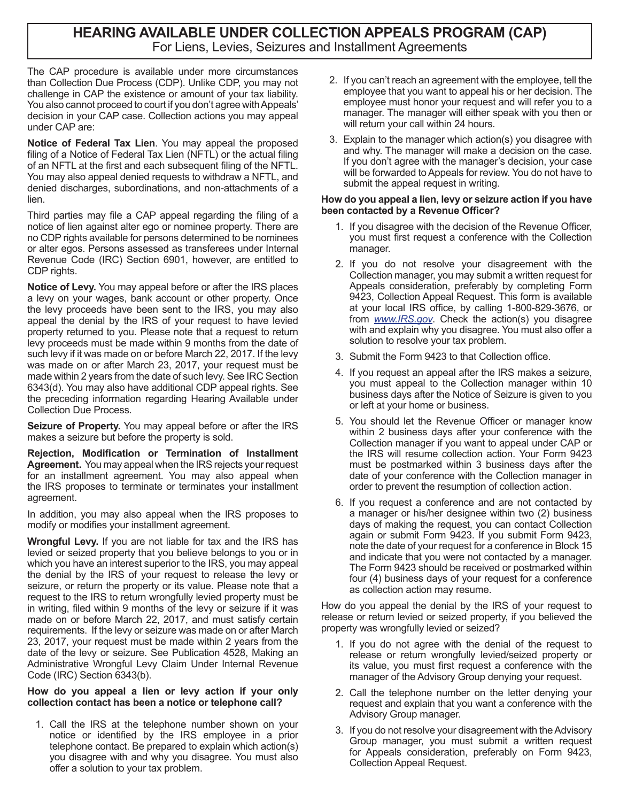# **HEARING AVAILABLE UNDER COLLECTION APPEALS PROGRAM (CAP)** For Liens, Levies, Seizures and Installment Agreements

The CAP procedure is available under more circumstances than Collection Due Process (CDP). Unlike CDP, you may not challenge in CAP the existence or amount of your tax liability. You also cannot proceed to court if you don't agree with Appeals' decision in your CAP case. Collection actions you may appeal under CAP are:

**Notice of Federal Tax Lien**. You may appeal the proposed filing of a Notice of Federal Tax Lien (NFTL) or the actual filing of an NFTL at the first and each subsequent filing of the NFTL. You may also appeal denied requests to withdraw a NFTL, and denied discharges, subordinations, and non-attachments of a lien.

Third parties may file a CAP appeal regarding the filing of a notice of lien against alter ego or nominee property. There are no CDP rights available for persons determined to be nominees or alter egos. Persons assessed as transferees under Internal Revenue Code (IRC) Section 6901, however, are entitled to CDP rights.

**Notice of Levy.** You may appeal before or after the IRS places a levy on your wages, bank account or other property. Once the levy proceeds have been sent to the IRS, you may also appeal the denial by the IRS of your request to have levied property returned to you. Please note that a request to return levy proceeds must be made within 9 months from the date of such levy if it was made on or before March 22, 2017. If the levy was made on or after March 23, 2017, your request must be made within 2 years from the date of such levy. See IRC Section 6343(d). You may also have additional CDP appeal rights. See the preceding information regarding Hearing Available under Collection Due Process.

**Seizure of Property.** You may appeal before or after the IRS makes a seizure but before the property is sold.

**Rejection, Modification or Termination of Installment Agreement.** You may appeal when the IRS rejects your request for an installment agreement. You may also appeal when the IRS proposes to terminate or terminates your installment agreement.

In addition, you may also appeal when the IRS proposes to modify or modifies your installment agreement.

**Wrongful Levy.** If you are not liable for tax and the IRS has levied or seized property that you believe belongs to you or in which you have an interest superior to the IRS, you may appeal the denial by the IRS of your request to release the levy or seizure, or return the property or its value. Please note that a request to the IRS to return wrongfully levied property must be in writing, filed within 9 months of the levy or seizure if it was made on or before March 22, 2017, and must satisfy certain requirements. If the levy or seizure was made on or after March 23, 2017, your request must be made within 2 years from the date of the levy or seizure. See Publication 4528, Making an Administrative Wrongful Levy Claim Under Internal Revenue Code (IRC) Section 6343(b).

## **How do you appeal a lien or levy action if your only collection contact has been a notice or telephone call?**

1. Call the IRS at the telephone number shown on your notice or identified by the IRS employee in a prior telephone contact. Be prepared to explain which action(s) you disagree with and why you disagree. You must also offer a solution to your tax problem.

- 2. If you can't reach an agreement with the employee, tell the employee that you want to appeal his or her decision. The employee must honor your request and will refer you to a manager. The manager will either speak with you then or will return your call within 24 hours.
- 3. Explain to the manager which action(s) you disagree with and why. The manager will make a decision on the case. If you don't agree with the manager's decision, your case will be forwarded to Appeals for review. You do not have to submit the appeal request in writing.

# **How do you appeal a lien, levy or seizure action if you have been contacted by a Revenue Officer?**

- 1. If you disagree with the decision of the Revenue Officer, you must first request a conference with the Collection manager.
- 2. If you do not resolve your disagreement with the Collection manager, you may submit a written request for Appeals consideration, preferably by completing Form 9423, Collection Appeal Request. This form is available at your local IRS office, by calling 1-800-829-3676, or from *<www.IRS.gov>*. Check the action(s) you disagree with and explain why you disagree. You must also offer a solution to resolve your tax problem.
- 3. Submit the Form 9423 to that Collection office.
- 4. If you request an appeal after the IRS makes a seizure, you must appeal to the Collection manager within 10 business days after the Notice of Seizure is given to you or left at your home or business.
- 5. You should let the Revenue Officer or manager know within 2 business days after your conference with the Collection manager if you want to appeal under CAP or the IRS will resume collection action. Your Form 9423 must be postmarked within 3 business days after the date of your conference with the Collection manager in order to prevent the resumption of collection action.
- 6. If you request a conference and are not contacted by a manager or his/her designee within two (2) business days of making the request, you can contact Collection again or submit Form 9423. If you submit Form 9423, note the date of your request for a conference in Block 15 and indicate that you were not contacted by a manager. The Form 9423 should be received or postmarked within four (4) business days of your request for a conference as collection action may resume.

How do you appeal the denial by the IRS of your request to release or return levied or seized property, if you believed the property was wrongfully levied or seized?

- 1. If you do not agree with the denial of the request to release or return wrongfully levied/seized property or its value, you must first request a conference with the manager of the Advisory Group denying your request.
- 2. Call the telephone number on the letter denying your request and explain that you want a conference with the Advisory Group manager.
- 3. If you do not resolve your disagreement with the Advisory Group manager, you must submit a written request for Appeals consideration, preferably on Form 9423, Collection Appeal Request.